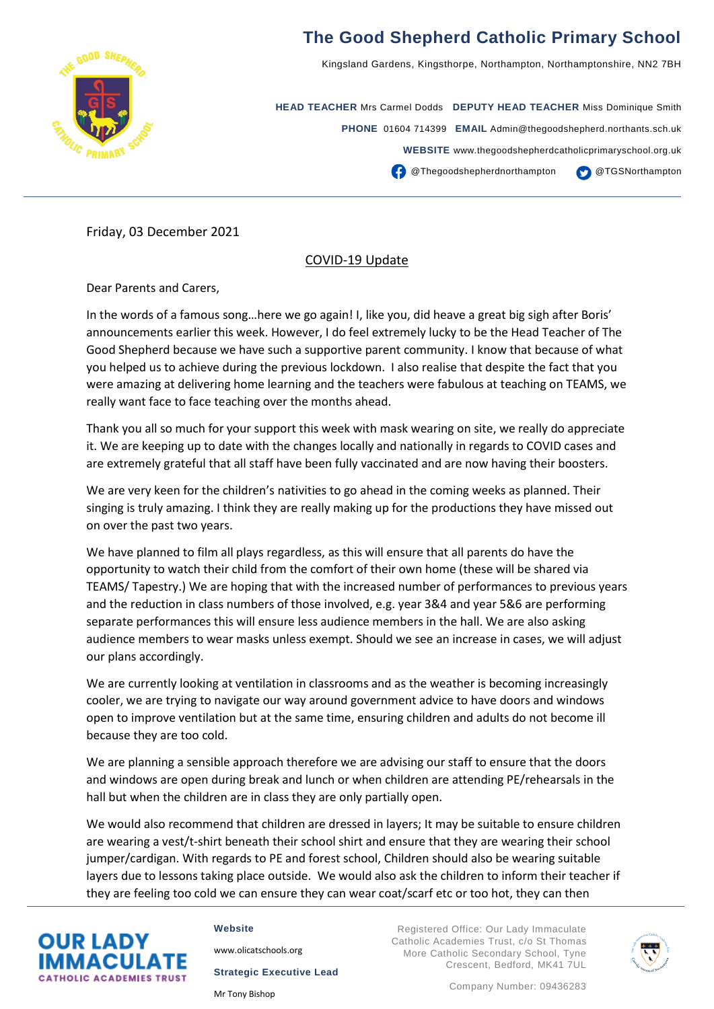

## **The Good Shepherd Catholic Primary School**

Kingsland Gardens, Kingsthorpe, Northampton, Northamptonshire, NN2 7BH

**HEAD TEACHER** Mrs Carmel Dodds **DEPUTY HEAD TEACHER** Miss Dominique Smith **PHONE** 01604 714399 **EMAIL** Admin@thegoodshepherd.northants.sch.uk **WEBSITE** www.thegoodshepherdcatholicprimaryschool.org.uk **CO** @Thegoodshepherdnorthampton @TGSNorthampton

Friday, 03 December 2021

## COVID-19 Update

Dear Parents and Carers,

In the words of a famous song…here we go again! I, like you, did heave a great big sigh after Boris' announcements earlier this week. However, I do feel extremely lucky to be the Head Teacher of The Good Shepherd because we have such a supportive parent community. I know that because of what you helped us to achieve during the previous lockdown. I also realise that despite the fact that you were amazing at delivering home learning and the teachers were fabulous at teaching on TEAMS, we really want face to face teaching over the months ahead.

Thank you all so much for your support this week with mask wearing on site, we really do appreciate it. We are keeping up to date with the changes locally and nationally in regards to COVID cases and are extremely grateful that all staff have been fully vaccinated and are now having their boosters.

We are very keen for the children's nativities to go ahead in the coming weeks as planned. Their singing is truly amazing. I think they are really making up for the productions they have missed out on over the past two years.

We have planned to film all plays regardless, as this will ensure that all parents do have the opportunity to watch their child from the comfort of their own home (these will be shared via TEAMS/ Tapestry.) We are hoping that with the increased number of performances to previous years and the reduction in class numbers of those involved, e.g. year 3&4 and year 5&6 are performing separate performances this will ensure less audience members in the hall. We are also asking audience members to wear masks unless exempt. Should we see an increase in cases, we will adjust our plans accordingly.

We are currently looking at ventilation in classrooms and as the weather is becoming increasingly cooler, we are trying to navigate our way around government advice to have doors and windows open to improve ventilation but at the same time, ensuring children and adults do not become ill because they are too cold.

We are planning a sensible approach therefore we are advising our staff to ensure that the doors and windows are open during break and lunch or when children are attending PE/rehearsals in the hall but when the children are in class they are only partially open.

We would also recommend that children are dressed in layers; It may be suitable to ensure children are wearing a vest/t-shirt beneath their school shirt and ensure that they are wearing their school jumper/cardigan. With regards to PE and forest school, Children should also be wearing suitable layers due to lessons taking place outside. We would also ask the children to inform their teacher if they are feeling too cold we can ensure they can wear coat/scarf etc or too hot, they can then



## **Website**

[www.olicatschools.org](http://www.olicatschools.org/)

**Strategic Executive Lead**

Mr Tony Bishop

Registered Office: Our Lady Immaculate Catholic Academies Trust, c/o St Thomas More Catholic Secondary School, Tyne Crescent, Bedford, MK41 7UL